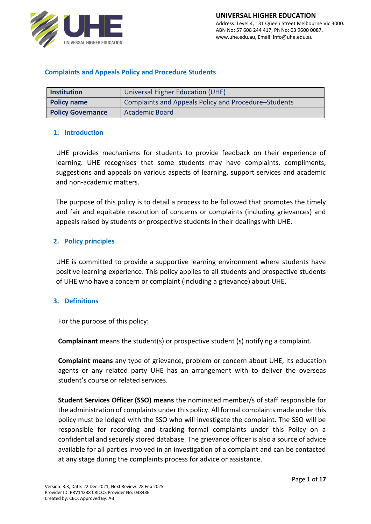

### **Complaints and Appeals Policy and Procedure Students**

| <b>Institution</b>       | Universal Higher Education (UHE)                     |
|--------------------------|------------------------------------------------------|
| <b>Policy name</b>       | Complaints and Appeals Policy and Procedure–Students |
| <b>Policy Governance</b> | <b>Academic Board</b>                                |

### **1. Introduction**

UHE provides mechanisms for students to provide feedback on their experience of learning. UHE recognises that some students may have complaints, compliments, suggestions and appeals on various aspects of learning, support services and academic and non-academic matters.

The purpose of this policy is to detail a process to be followed that promotes the timely and fair and equitable resolution of concerns or complaints (including grievances) and appeals raised by students or prospective students in their dealings with UHE.

### **2. Policy principles**

UHE is committed to provide a supportive learning environment where students have positive learning experience. This policy applies to all students and prospective students of UHE who have a concern or complaint (including a grievance) about UHE.

### **3. Definitions**

For the purpose of this policy:

**Complainant** means the student(s) or prospective student (s) notifying a complaint.

**Complaint means** any type of grievance, problem or concern about UHE, its education agents or any related party UHE has an arrangement with to deliver the overseas student's course or related services.

**Student Services Officer (SSO) means** the nominated member/s of staff responsible for the administration of complaints under this policy. All formal complaints made under this policy must be lodged with the SSO who will investigate the complaint. The SSO will be responsible for recording and tracking formal complaints under this Policy on a confidential and securely stored database. The grievance officer is also a source of advice available for all parties involved in an investigation of a complaint and can be contacted at any stage during the complaints process for advice or assistance.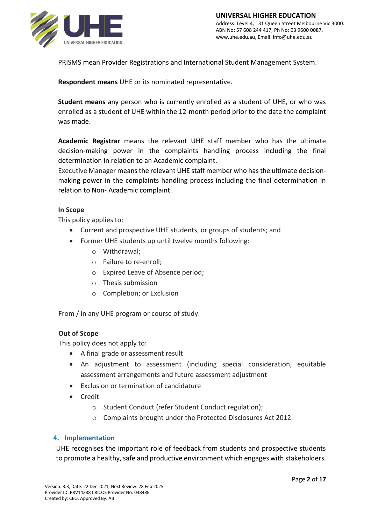

PRISMS mean Provider Registrations and International Student Management System.

**Respondent means** UHE or its nominated representative.

**Student means** any person who is currently enrolled as a student of UHE, or who was enrolled as a student of UHE within the 12-month period prior to the date the complaint was made.

**Academic Registrar** means the relevant UHE staff member who has the ultimate decision-making power in the complaints handling process including the final determination in relation to an Academic complaint.

Executive Manager means the relevant UHE staff member who has the ultimate decisionmaking power in the complaints handling process including the final determination in relation to Non- Academic complaint.

### **In Scope**

This policy applies to:

- Current and prospective UHE students, or groups of students; and
- Former UHE students up until twelve months following:
	- o Withdrawal;
	- o Failure to re-enroll;
	- o Expired Leave of Absence period;
	- o Thesis submission
	- o Completion; or Exclusion

From / in any UHE program or course of study.

### **Out of Scope**

This policy does not apply to:

- A final grade or assessment result
- An adjustment to assessment (including special consideration, equitable assessment arrangements and future assessment adjustment
- Exclusion or termination of candidature
- Credit
	- o Student Conduct (refer Student Conduct regulation);
	- o Complaints brought under the Protected Disclosures Act 2012

### **4. Implementation**

UHE recognises the important role of feedback from students and prospective students to promote a healthy, safe and productive environment which engages with stakeholders.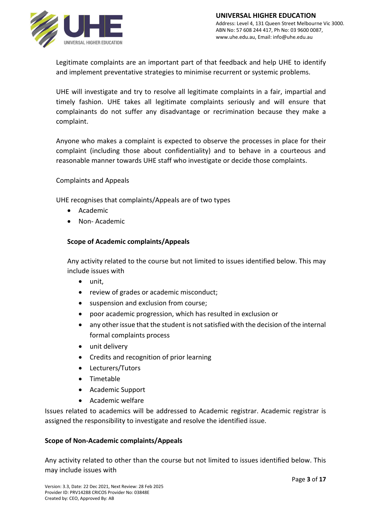

Legitimate complaints are an important part of that feedback and help UHE to identify and implement preventative strategies to minimise recurrent or systemic problems.

UHE will investigate and try to resolve all legitimate complaints in a fair, impartial and timely fashion. UHE takes all legitimate complaints seriously and will ensure that complainants do not suffer any disadvantage or recrimination because they make a complaint.

Anyone who makes a complaint is expected to observe the processes in place for their complaint (including those about confidentiality) and to behave in a courteous and reasonable manner towards UHE staff who investigate or decide those complaints.

Complaints and Appeals

UHE recognises that complaints/Appeals are of two types

- Academic
- Non- Academic

### **Scope of Academic complaints/Appeals**

Any activity related to the course but not limited to issues identified below. This may include issues with

- unit,
- review of grades or academic misconduct;
- suspension and exclusion from course;
- poor academic progression, which has resulted in exclusion or
- any other issue that the student is not satisfied with the decision of the internal formal complaints process
- unit delivery
- Credits and recognition of prior learning
- Lecturers/Tutors
- Timetable
- Academic Support
- Academic welfare

Issues related to academics will be addressed to Academic registrar. Academic registrar is assigned the responsibility to investigate and resolve the identified issue.

### **Scope of Non-Academic complaints/Appeals**

Any activity related to other than the course but not limited to issues identified below. This may include issues with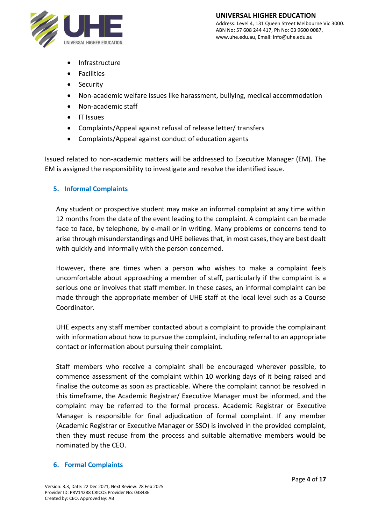

- **Infrastructure**
- **Facilities**
- **Security**
- Non-academic welfare issues like harassment, bullying, medical accommodation
- Non-academic staff
- IT Issues
- Complaints/Appeal against refusal of release letter/ transfers
- Complaints/Appeal against conduct of education agents

Issued related to non-academic matters will be addressed to Executive Manager (EM). The EM is assigned the responsibility to investigate and resolve the identified issue.

### **5. Informal Complaints**

Any student or prospective student may make an informal complaint at any time within 12 months from the date of the event leading to the complaint. A complaint can be made face to face, by telephone, by e-mail or in writing. Many problems or concerns tend to arise through misunderstandings and UHE believes that, in most cases, they are best dealt with quickly and informally with the person concerned.

However, there are times when a person who wishes to make a complaint feels uncomfortable about approaching a member of staff, particularly if the complaint is a serious one or involves that staff member. In these cases, an informal complaint can be made through the appropriate member of UHE staff at the local level such as a Course Coordinator.

UHE expects any staff member contacted about a complaint to provide the complainant with information about how to pursue the complaint, including referral to an appropriate contact or information about pursuing their complaint.

Staff members who receive a complaint shall be encouraged wherever possible, to commence assessment of the complaint within 10 working days of it being raised and finalise the outcome as soon as practicable. Where the complaint cannot be resolved in this timeframe, the Academic Registrar/ Executive Manager must be informed, and the complaint may be referred to the formal process. Academic Registrar or Executive Manager is responsible for final adjudication of formal complaint. If any member (Academic Registrar or Executive Manager or SSO) is involved in the provided complaint, then they must recuse from the process and suitable alternative members would be nominated by the CEO.

### **6. Formal Complaints**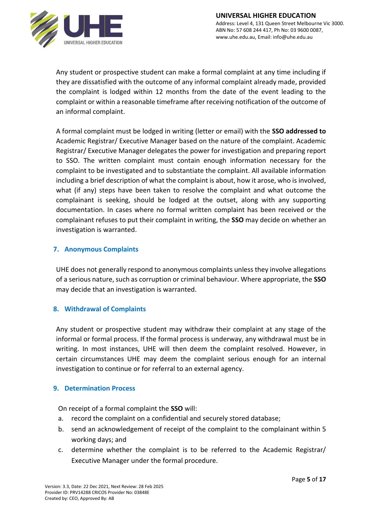

Any student or prospective student can make a formal complaint at any time including if they are dissatisfied with the outcome of any informal complaint already made, provided the complaint is lodged within 12 months from the date of the event leading to the complaint or within a reasonable timeframe after receiving notification of the outcome of an informal complaint.

A formal complaint must be lodged in writing (letter or email) with the **SSO addressed to**  Academic Registrar/ Executive Manager based on the nature of the complaint. Academic Registrar/ Executive Manager delegates the power for investigation and preparing report to SSO. The written complaint must contain enough information necessary for the complaint to be investigated and to substantiate the complaint. All available information including a brief description of what the complaint is about, how it arose, who is involved, what (if any) steps have been taken to resolve the complaint and what outcome the complainant is seeking, should be lodged at the outset, along with any supporting documentation. In cases where no formal written complaint has been received or the complainant refuses to put their complaint in writing, the **SSO** may decide on whether an investigation is warranted.

### **7. Anonymous Complaints**

UHE does not generally respond to anonymous complaints unless they involve allegations of a serious nature, such as corruption or criminal behaviour. Where appropriate, the **SSO** may decide that an investigation is warranted.

### **8. Withdrawal of Complaints**

Any student or prospective student may withdraw their complaint at any stage of the informal or formal process. If the formal process is underway, any withdrawal must be in writing. In most instances, UHE will then deem the complaint resolved. However, in certain circumstances UHE may deem the complaint serious enough for an internal investigation to continue or for referral to an external agency.

### **9. Determination Process**

On receipt of a formal complaint the **SSO** will:

- a. record the complaint on a confidential and securely stored database;
- b. send an acknowledgement of receipt of the complaint to the complainant within 5 working days; and
- c. determine whether the complaint is to be referred to the Academic Registrar/ Executive Manager under the formal procedure.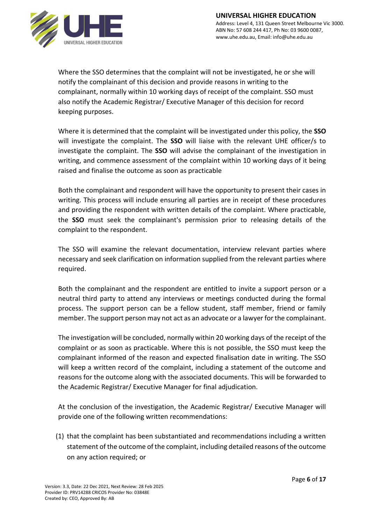

Where the SSO determines that the complaint will not be investigated, he or she will notify the complainant of this decision and provide reasons in writing to the complainant, normally within 10 working days of receipt of the complaint. SSO must also notify the Academic Registrar/ Executive Manager of this decision for record keeping purposes.

Where it is determined that the complaint will be investigated under this policy, the **SSO** will investigate the complaint. The **SSO** will liaise with the relevant UHE officer/s to investigate the complaint. The **SSO** will advise the complainant of the investigation in writing, and commence assessment of the complaint within 10 working days of it being raised and finalise the outcome as soon as practicable

Both the complainant and respondent will have the opportunity to present their cases in writing. This process will include ensuring all parties are in receipt of these procedures and providing the respondent with written details of the complaint. Where practicable, the **SSO** must seek the complainant's permission prior to releasing details of the complaint to the respondent.

The SSO will examine the relevant documentation, interview relevant parties where necessary and seek clarification on information supplied from the relevant parties where required.

Both the complainant and the respondent are entitled to invite a support person or a neutral third party to attend any interviews or meetings conducted during the formal process. The support person can be a fellow student, staff member, friend or family member. The support person may not act as an advocate or a lawyer for the complainant.

The investigation will be concluded, normally within 20 working days of the receipt of the complaint or as soon as practicable. Where this is not possible, the SSO must keep the complainant informed of the reason and expected finalisation date in writing. The SSO will keep a written record of the complaint, including a statement of the outcome and reasons for the outcome along with the associated documents. This will be forwarded to the Academic Registrar/ Executive Manager for final adjudication.

At the conclusion of the investigation, the Academic Registrar/ Executive Manager will provide one of the following written recommendations:

(1) that the complaint has been substantiated and recommendations including a written statement of the outcome of the complaint, including detailed reasons of the outcome on any action required; or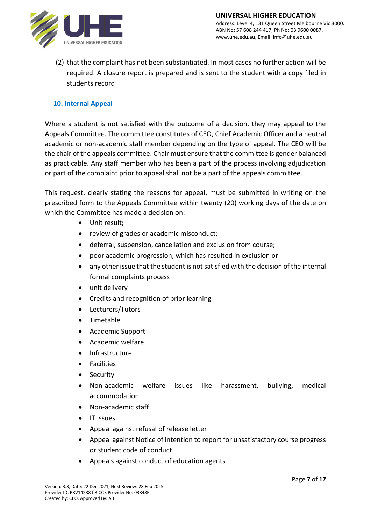

(2) that the complaint has not been substantiated. In most cases no further action will be required. A closure report is prepared and is sent to the student with a copy filed in students record

### **10. Internal Appeal**

Where a student is not satisfied with the outcome of a decision, they may appeal to the Appeals Committee. The committee constitutes of CEO, Chief Academic Officer and a neutral academic or non-academic staff member depending on the type of appeal. The CEO will be the chair of the appeals committee. Chair must ensure that the committee is gender balanced as practicable. Any staff member who has been a part of the process involving adjudication or part of the complaint prior to appeal shall not be a part of the appeals committee.

This request, clearly stating the reasons for appeal, must be submitted in writing on the prescribed form to the Appeals Committee within twenty (20) working days of the date on which the Committee has made a decision on:

- Unit result;
- review of grades or academic misconduct;
- deferral, suspension, cancellation and exclusion from course;
- poor academic progression, which has resulted in exclusion or
- any other issue that the student is not satisfied with the decision of the internal formal complaints process
- unit delivery
- Credits and recognition of prior learning
- Lecturers/Tutors
- Timetable
- Academic Support
- Academic welfare
- Infrastructure
- **Facilities**
- Security
- Non-academic welfare issues like harassment, bullying, medical accommodation
- Non-academic staff
- IT Issues
- Appeal against refusal of release letter
- Appeal against Notice of intention to report for unsatisfactory course progress or student code of conduct
- Appeals against conduct of education agents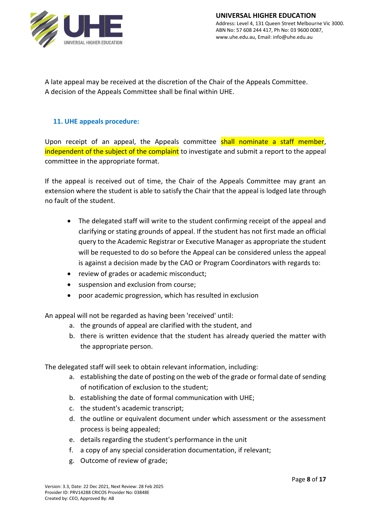

A late appeal may be received at the discretion of the Chair of the Appeals Committee. A decision of the Appeals Committee shall be final within UHE.

### **11. UHE appeals procedure:**

Upon receipt of an appeal, the Appeals committee shall nominate a staff member, independent of the subject of the complaint to investigate and submit a report to the appeal committee in the appropriate format.

If the appeal is received out of time, the Chair of the Appeals Committee may grant an extension where the student is able to satisfy the Chair that the appeal is lodged late through no fault of the student.

- The delegated staff will write to the student confirming receipt of the appeal and clarifying or stating grounds of appeal. If the student has not first made an official query to the Academic Registrar or Executive Manager as appropriate the student will be requested to do so before the Appeal can be considered unless the appeal is against a decision made by the CAO or Program Coordinators with regards to:
- review of grades or academic misconduct;
- suspension and exclusion from course;
- poor academic progression, which has resulted in exclusion

An appeal will not be regarded as having been 'received' until:

- a. the grounds of appeal are clarified with the student, and
- b. there is written evidence that the student has already queried the matter with the appropriate person.

The delegated staff will seek to obtain relevant information, including:

- a. establishing the date of posting on the web of the grade or formal date of sending of notification of exclusion to the student;
- b. establishing the date of formal communication with UHE;
- c. the student's academic transcript;
- d. the outline or equivalent document under which assessment or the assessment process is being appealed;
- e. details regarding the student's performance in the unit
- f. a copy of any special consideration documentation, if relevant;
- g. Outcome of review of grade;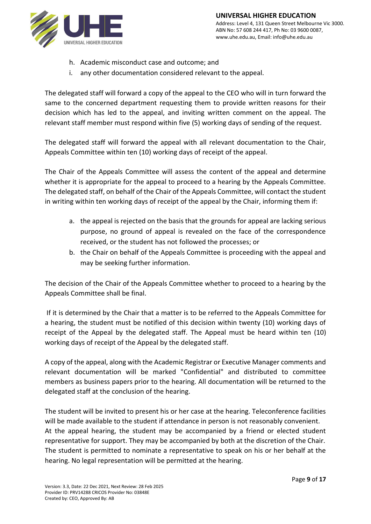

- h. Academic misconduct case and outcome; and
- i. any other documentation considered relevant to the appeal.

The delegated staff will forward a copy of the appeal to the CEO who will in turn forward the same to the concerned department requesting them to provide written reasons for their decision which has led to the appeal, and inviting written comment on the appeal. The relevant staff member must respond within five (5) working days of sending of the request.

The delegated staff will forward the appeal with all relevant documentation to the Chair, Appeals Committee within ten (10) working days of receipt of the appeal.

The Chair of the Appeals Committee will assess the content of the appeal and determine whether it is appropriate for the appeal to proceed to a hearing by the Appeals Committee. The delegated staff, on behalf of the Chair of the Appeals Committee, will contact the student in writing within ten working days of receipt of the appeal by the Chair, informing them if:

- a. the appeal is rejected on the basis that the grounds for appeal are lacking serious purpose, no ground of appeal is revealed on the face of the correspondence received, or the student has not followed the processes; or
- b. the Chair on behalf of the Appeals Committee is proceeding with the appeal and may be seeking further information.

The decision of the Chair of the Appeals Committee whether to proceed to a hearing by the Appeals Committee shall be final.

If it is determined by the Chair that a matter is to be referred to the Appeals Committee for a hearing, the student must be notified of this decision within twenty (10) working days of receipt of the Appeal by the delegated staff. The Appeal must be heard within ten (10) working days of receipt of the Appeal by the delegated staff.

A copy of the appeal, along with the Academic Registrar or Executive Manager comments and relevant documentation will be marked "Confidential" and distributed to committee members as business papers prior to the hearing. All documentation will be returned to the delegated staff at the conclusion of the hearing.

The student will be invited to present his or her case at the hearing. Teleconference facilities will be made available to the student if attendance in person is not reasonably convenient. At the appeal hearing, the student may be accompanied by a friend or elected student representative for support. They may be accompanied by both at the discretion of the Chair. The student is permitted to nominate a representative to speak on his or her behalf at the hearing. No legal representation will be permitted at the hearing.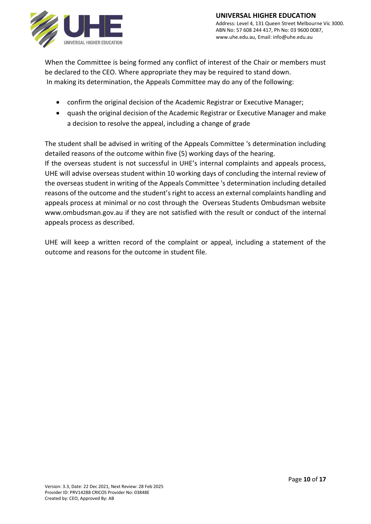

When the Committee is being formed any conflict of interest of the Chair or members must be declared to the CEO. Where appropriate they may be required to stand down. In making its determination, the Appeals Committee may do any of the following:

- confirm the original decision of the Academic Registrar or Executive Manager;
- quash the original decision of the Academic Registrar or Executive Manager and make a decision to resolve the appeal, including a change of grade

The student shall be advised in writing of the Appeals Committee 's determination including detailed reasons of the outcome within five (5) working days of the hearing.

If the overseas student is not successful in UHE's internal complaints and appeals process, UHE will advise overseas student within 10 working days of concluding the internal review of the overseas student in writing of the Appeals Committee 's determination including detailed reasons of the outcome and the student's right to access an external complaints handling and appeals process at minimal or no cost through the Overseas Students Ombudsman website www.ombudsman.gov.au if they are not satisfied with the result or conduct of the internal appeals process as described.

UHE will keep a written record of the complaint or appeal, including a statement of the outcome and reasons for the outcome in student file.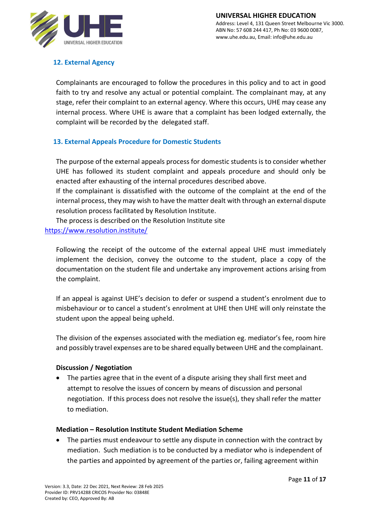

# **12. External Agency**

Complainants are encouraged to follow the procedures in this policy and to act in good faith to try and resolve any actual or potential complaint. The complainant may, at any stage, refer their complaint to an external agency. Where this occurs, UHE may cease any internal process. Where UHE is aware that a complaint has been lodged externally, the complaint will be recorded by the delegated staff.

# **13. External Appeals Procedure for Domestic Students**

The purpose of the external appeals process for domestic students is to consider whether UHE has followed its student complaint and appeals procedure and should only be enacted after exhausting of the internal procedures described above.

If the complainant is dissatisfied with the outcome of the complaint at the end of the internal process, they may wish to have the matter dealt with through an external dispute resolution process facilitated by Resolution Institute.

The process is described on the Resolution Institute site <https://www.resolution.institute/>

Following the receipt of the outcome of the external appeal UHE must immediately implement the decision, convey the outcome to the student, place a copy of the documentation on the student file and undertake any improvement actions arising from the complaint.

If an appeal is against UHE's decision to defer or suspend a student's enrolment due to misbehaviour or to cancel a student's enrolment at UHE then UHE will only reinstate the student upon the appeal being upheld.

The division of the expenses associated with the mediation eg. mediator's fee, room hire and possibly travel expenses are to be shared equally between UHE and the complainant.

### **Discussion / Negotiation**

• The parties agree that in the event of a dispute arising they shall first meet and attempt to resolve the issues of concern by means of discussion and personal negotiation. If this process does not resolve the issue(s), they shall refer the matter to mediation.

### **Mediation – Resolution Institute Student Mediation Scheme**

The parties must endeavour to settle any dispute in connection with the contract by mediation. Such mediation is to be conducted by a mediator who is independent of the parties and appointed by agreement of the parties or, failing agreement within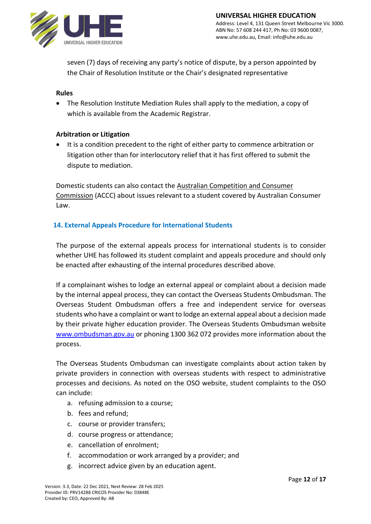

seven (7) days of receiving any party's notice of dispute, by a person appointed by the Chair of Resolution Institute or the Chair's designated representative

### **Rules**

• The Resolution Institute Mediation Rules shall apply to the mediation, a copy of which is available from the Academic Registrar.

### **Arbitration or Litigation**

• It is a condition precedent to the right of either party to commence arbitration or litigation other than for interlocutory relief that it has first offered to submit the dispute to mediation.

Domestic students can also contact the [Australian Competition and Consumer](https://www.accc.gov.au/)  [Commission](https://www.accc.gov.au/) (ACCC) about issues relevant to a student covered by Australian Consumer Law.

### **14. External Appeals Procedure for International Students**

The purpose of the external appeals process for international students is to consider whether UHE has followed its student complaint and appeals procedure and should only be enacted after exhausting of the internal procedures described above.

If a complainant wishes to lodge an external appeal or complaint about a decision made by the internal appeal process, they can contact the Overseas Students Ombudsman. The Overseas Student Ombudsman offers a free and independent service for overseas students who have a complaint or want to lodge an external appeal about a decision made by their private higher education provider. The Overseas Students Ombudsman website [www.ombudsman.gov.au](http://www.ombudsman.gov.au/) or phoning 1300 362 072 provides more information about the process.

The Overseas Students Ombudsman can investigate complaints about action taken by private providers in connection with overseas students with respect to administrative processes and decisions. As noted on the OSO website, student complaints to the OSO can include:

- a. refusing admission to a course;
- b. fees and refund;
- c. course or provider transfers;
- d. course progress or attendance;
- e. cancellation of enrolment;
- f. accommodation or work arranged by a provider; and
- g. incorrect advice given by an education agent.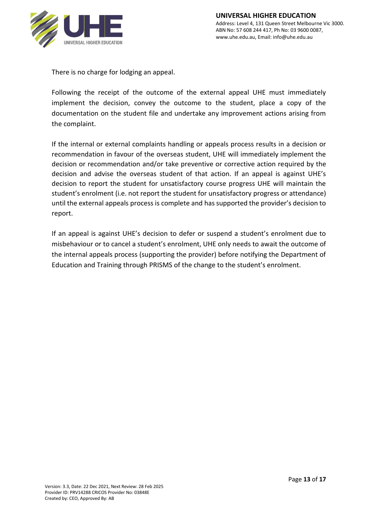

There is no charge for lodging an appeal.

Following the receipt of the outcome of the external appeal UHE must immediately implement the decision, convey the outcome to the student, place a copy of the documentation on the student file and undertake any improvement actions arising from the complaint.

If the internal or external complaints handling or appeals process results in a decision or recommendation in favour of the overseas student, UHE will immediately implement the decision or recommendation and/or take preventive or corrective action required by the decision and advise the overseas student of that action. If an appeal is against UHE's decision to report the student for unsatisfactory course progress UHE will maintain the student's enrolment (i.e. not report the student for unsatisfactory progress or attendance) until the external appeals process is complete and has supported the provider's decision to report.

If an appeal is against UHE's decision to defer or suspend a student's enrolment due to misbehaviour or to cancel a student's enrolment, UHE only needs to await the outcome of the internal appeals process (supporting the provider) before notifying the Department of Education and Training through PRISMS of the change to the student's enrolment.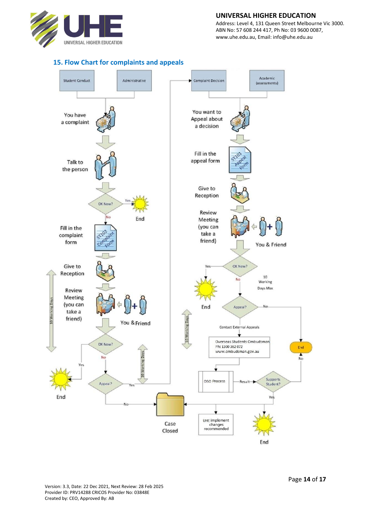

#### **UNIVERSAL HIGHER EDUCATION**

Address: Level 4, 131 Queen Street Melbourne Vic 3000. ABN No: 57 608 244 417, Ph No: 03 9600 0087, www.uhe.edu.au, Email: info@uhe.edu.au



#### **15. Flow Chart for complaints and appeals**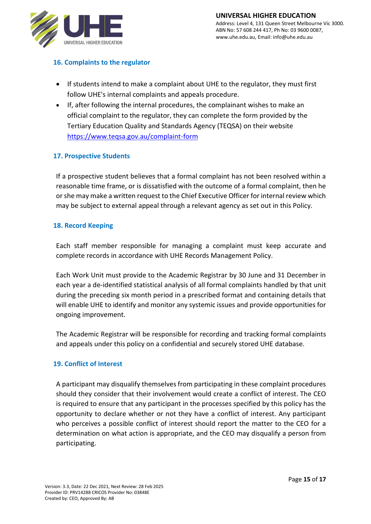

### **16. Complaints to the regulator**

- If students intend to make a complaint about UHE to the regulator, they must first follow UHE's internal complaints and appeals procedure.
- If, after following the internal procedures, the complainant wishes to make an official complaint to the regulator, they can complete the form provided by the Tertiary Education Quality and Standards Agency (TEQSA) on their website <https://www.teqsa.gov.au/complaint-form>

### **17. Prospective Students**

If a prospective student believes that a formal complaint has not been resolved within a reasonable time frame, or is dissatisfied with the outcome of a formal complaint, then he or she may make a written request to the Chief Executive Officer for internal review which may be subject to external appeal through a relevant agency as set out in this Policy.

### **18. Record Keeping**

Each staff member responsible for managing a complaint must keep accurate and complete records in accordance with UHE Records Management Policy.

Each Work Unit must provide to the Academic Registrar by 30 June and 31 December in each year a de-identified statistical analysis of all formal complaints handled by that unit during the preceding six month period in a prescribed format and containing details that will enable UHE to identify and monitor any systemic issues and provide opportunities for ongoing improvement.

The Academic Registrar will be responsible for recording and tracking formal complaints and appeals under this policy on a confidential and securely stored UHE database.

### **19. Conflict of Interest**

A participant may disqualify themselves from participating in these complaint procedures should they consider that their involvement would create a conflict of interest. The CEO is required to ensure that any participant in the processes specified by this policy has the opportunity to declare whether or not they have a conflict of interest. Any participant who perceives a possible conflict of interest should report the matter to the CEO for a determination on what action is appropriate, and the CEO may disqualify a person from participating.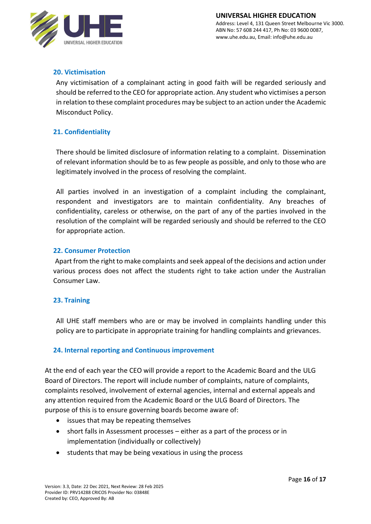

# **20. Victimisation**

Any victimisation of a complainant acting in good faith will be regarded seriously and should be referred to the CEO for appropriate action. Any student who victimises a person in relation to these complaint procedures may be subject to an action under the Academic Misconduct Policy.

# **21. Confidentiality**

There should be limited disclosure of information relating to a complaint. Dissemination of relevant information should be to as few people as possible, and only to those who are legitimately involved in the process of resolving the complaint.

All parties involved in an investigation of a complaint including the complainant, respondent and investigators are to maintain confidentiality. Any breaches of confidentiality, careless or otherwise, on the part of any of the parties involved in the resolution of the complaint will be regarded seriously and should be referred to the CEO for appropriate action.

### **22. Consumer Protection**

 Apart from the right to make complaints and seek appeal of the decisions and action under various process does not affect the students right to take action under the Australian Consumer Law.

### **23. Training**

All UHE staff members who are or may be involved in complaints handling under this policy are to participate in appropriate training for handling complaints and grievances.

### **24. Internal reporting and Continuous improvement**

At the end of each year the CEO will provide a report to the Academic Board and the ULG Board of Directors. The report will include number of complaints, nature of complaints, complaints resolved, involvement of external agencies, internal and external appeals and any attention required from the Academic Board or the ULG Board of Directors. The purpose of this is to ensure governing boards become aware of:

- issues that may be repeating themselves
- short falls in Assessment processes either as a part of the process or in implementation (individually or collectively)
- students that may be being vexatious in using the process